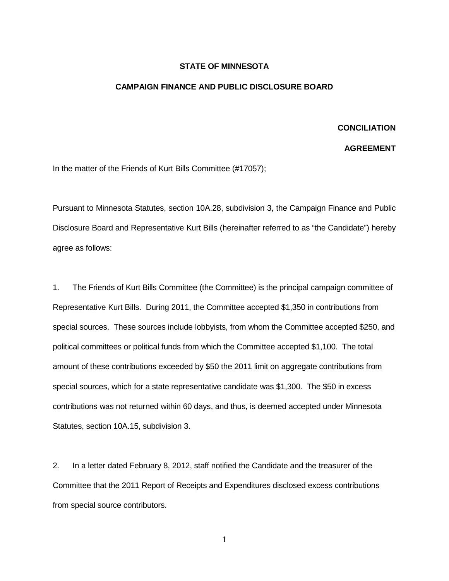## **STATE OF MINNESOTA**

## **CAMPAIGN FINANCE AND PUBLIC DISCLOSURE BOARD**

## **CONCILIATION**

## **AGREEMENT**

In the matter of the Friends of Kurt Bills Committee (#17057);

Pursuant to Minnesota Statutes, section 10A.28, subdivision 3, the Campaign Finance and Public Disclosure Board and Representative Kurt Bills (hereinafter referred to as "the Candidate") hereby agree as follows:

1. The Friends of Kurt Bills Committee (the Committee) is the principal campaign committee of Representative Kurt Bills. During 2011, the Committee accepted \$1,350 in contributions from special sources. These sources include lobbyists, from whom the Committee accepted \$250, and political committees or political funds from which the Committee accepted \$1,100. The total amount of these contributions exceeded by \$50 the 2011 limit on aggregate contributions from special sources, which for a state representative candidate was \$1,300. The \$50 in excess contributions was not returned within 60 days, and thus, is deemed accepted under Minnesota Statutes, section 10A.15, subdivision 3.

2. In a letter dated February 8, 2012, staff notified the Candidate and the treasurer of the Committee that the 2011 Report of Receipts and Expenditures disclosed excess contributions from special source contributors.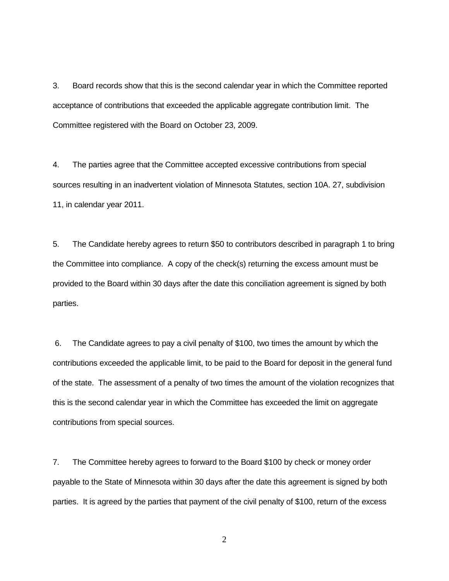3. Board records show that this is the second calendar year in which the Committee reported acceptance of contributions that exceeded the applicable aggregate contribution limit. The Committee registered with the Board on October 23, 2009.

4. The parties agree that the Committee accepted excessive contributions from special sources resulting in an inadvertent violation of Minnesota Statutes, section 10A. 27, subdivision 11, in calendar year 2011.

5. The Candidate hereby agrees to return \$50 to contributors described in paragraph 1 to bring the Committee into compliance. A copy of the check(s) returning the excess amount must be provided to the Board within 30 days after the date this conciliation agreement is signed by both parties.

6. The Candidate agrees to pay a civil penalty of \$100, two times the amount by which the contributions exceeded the applicable limit, to be paid to the Board for deposit in the general fund of the state. The assessment of a penalty of two times the amount of the violation recognizes that this is the second calendar year in which the Committee has exceeded the limit on aggregate contributions from special sources.

7. The Committee hereby agrees to forward to the Board \$100 by check or money order payable to the State of Minnesota within 30 days after the date this agreement is signed by both parties. It is agreed by the parties that payment of the civil penalty of \$100, return of the excess

2